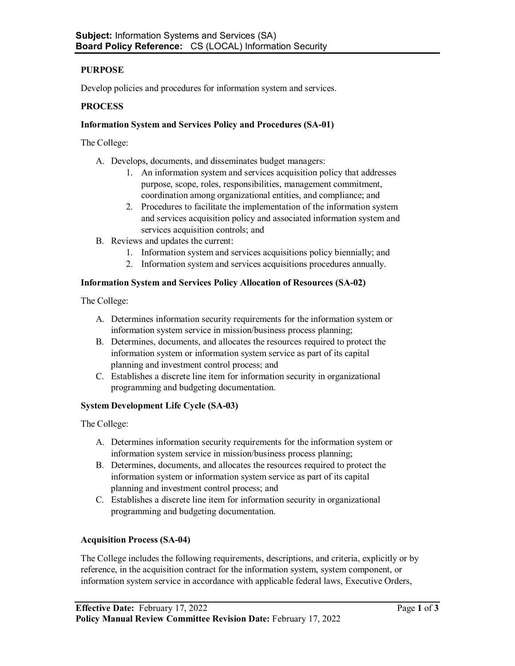# **PURPOSE**

Develop policies and procedures for information system and services.

## **PROCESS**

## **Information System and Services Policy and Procedures (SA-01)**

The College:

- A. Develops, documents, and disseminates budget managers:
	- 1. An information system and services acquisition policy that addresses purpose, scope, roles, responsibilities, management commitment, coordination among organizational entities, and compliance; and
	- 2. Procedures to facilitate the implementation of the information system and services acquisition policy and associated information system and services acquisition controls; and
- B. Reviews and updates the current:
	- 1. Information system and services acquisitions policy biennially; and
	- 2. Information system and services acquisitions procedures annually.

#### **Information System and Services Policy Allocation of Resources (SA-02)**

The College:

- A. Determines information security requirements for the information system or information system service in mission/business process planning;
- B. Determines, documents, and allocates the resources required to protect the information system or information system service as part of its capital planning and investment control process; and
- C. Establishes a discrete line item for information security in organizational programming and budgeting documentation.

#### **System Development Life Cycle (SA-03)**

The College:

- A. Determines information security requirements for the information system or information system service in mission/business process planning;
- B. Determines, documents, and allocates the resources required to protect the information system or information system service as part of its capital planning and investment control process; and
- C. Establishes a discrete line item for information security in organizational programming and budgeting documentation.

#### **Acquisition Process (SA-04)**

The College includes the following requirements, descriptions, and criteria, explicitly or by reference, in the acquisition contract for the information system, system component, or information system service in accordance with applicable federal laws, Executive Orders,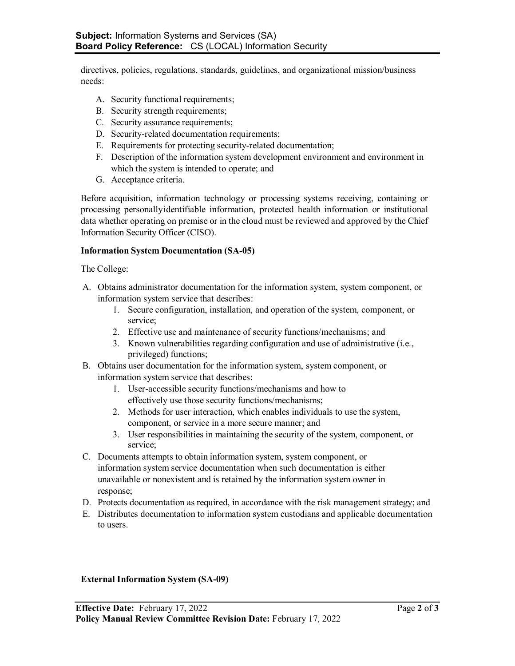directives, policies, regulations, standards, guidelines, and organizational mission/business needs:

- A. Security functional requirements;
- B. Security strength requirements;
- C. Security assurance requirements;
- D. Security-related documentation requirements;
- E. Requirements for protecting security-related documentation;
- F. Description of the information system development environment and environment in which the system is intended to operate; and
- G. Acceptance criteria.

Before acquisition, information technology or processing systems receiving, containing or processing personallyidentifiable information, protected health information or institutional data whether operating on premise or in the cloud must be reviewed and approved by the Chief Information Security Officer (CISO).

#### **Information System Documentation (SA-05)**

The College:

- A. Obtains administrator documentation for the information system, system component, or information system service that describes:
	- 1. Secure configuration, installation, and operation of the system, component, or service;
	- 2. Effective use and maintenance of security functions/mechanisms; and
	- 3. Known vulnerabilities regarding configuration and use of administrative (i.e., privileged) functions;
- B. Obtains user documentation for the information system, system component, or information system service that describes:
	- 1. User-accessible security functions/mechanisms and how to effectively use those security functions/mechanisms;
	- 2. Methods for user interaction, which enables individuals to use the system, component, or service in a more secure manner; and
	- 3. User responsibilities in maintaining the security of the system, component, or service;
- C. Documents attempts to obtain information system, system component, or information system service documentation when such documentation is either unavailable or nonexistent and is retained by the information system owner in response;
- D. Protects documentation as required, in accordance with the risk management strategy; and
- E. Distributes documentation to information system custodians and applicable documentation to users.

#### **External Information System (SA-09)**